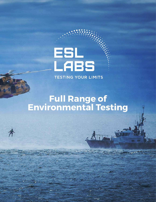# ESL<br>LABS **TESTING YOUR LIMITS**

**Full Range of Environmental Testing**

chin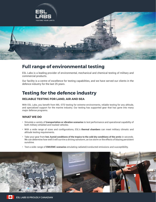

## **Full range of environmental testing**

ESL Labs is a leading provider of environmental, mechanical and chemical testing of military and commercial products.

Our facility is a centre of excellence for testing capabilities, and we have served our clients in the defence industry for the last 25 years.

## **Testing for the defence industry**

### **RELIABLE TESTING FOR LAND, AIR AND SEA**

With ESL Labs, you benefit from MIL-STD testing for extreme environments, reliable testing for any altitude, and specialized support for the marine industry. Our testing has supported gear that has gone into many major defense programs.

### **WHAT WE DO**

- Simulate a variety of **transportation or vibration scenarios** to test performance and operational capability of both military wheeled and tracked vehicles.
- With a wide range of sizes and configurations, ESL's **thermal chambers** can meet military climatic and altitude testing requirements.
- Take your gear from **hot, humid conditions of the tropics to the cold dry conditions of the arctic** in seconds. We can determine how well it will survive a driving rainstorm, an ice storm or the effects of blazing persistent sunshine.
- Test a wide-range of **EMI/EMC scenarios** emulating radiated/conducted emissions and susceptibility.

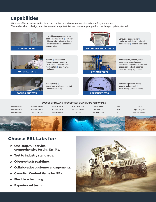## **Capabilities**

ESL Labs offers standard and tailored tests to best match environmental conditions for your products. We are also able to design, manufacture and adapt test fixtures to ensure your product can be appropriately tested.



**CLIMATIC TESTS**

Low & high temperature thermal soak | thermal shock | humidity | blowing rain | icing/freezing rain | water immersion | enhanced solar radiation



**ELECTROMAGNETIC TESTS**

Conducted susceptibility | conducted emissions | radiated susceptibility | radiated emissions

Vibration (sine, random, mixed mode, loose cargo, transport) | classical shock (half-sine, sawtooth trapezoidal) | shock response spectrum | navy high impact



**MATERIAL TESTS**

Tension | compression | fatigue cycling | viscosity | hardness | bend and shear | resin content | fiber volume | gel time



Hydrostatic pressure testing (internal and external) | depth testing | altitude testing



**CORROSION TESTS**

Salt fog/spray | accelerated weathering (i.e., UV) | fluid susceptibility



**PRESSURE TESTS**

#### **SUBSET OF MIL AND RUGGED TEST STANDARDS PERFORMED**

MIL-STD-461 MIL-STD-810 MIL-STD-167

MIL-STD-1275 MIL-STD-1399 MIL-STD-704

MIL-DTL-901 MIL-STD-108 MIL-E-5400T

RTCA/DO-160 MIL-STD-2164 UN TDG

ASTM B117 ASTM G53 ASTM D4169

SAE FCC ICES

CISPR Lloyd's Register NATO:STANAG



## **Choose ESL Labs for:**

- **One-stop, full service, comprehensive testing facility.**
- **Test to industry standards.**
- **Observe tests real-time.**
- **Collaborative customer engagements.**
- **Canadian Content Value for ITBs.**
- **Flexible scheduling.**
- **Experienced team.**